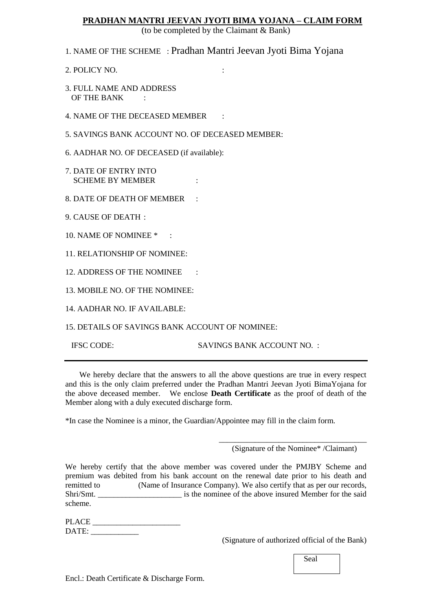#### **PRADHAN MANTRI JEEVAN JYOTI BIMA YOJANA – CLAIM FORM**

(to be completed by the Claimant & Bank)

1. NAME OF THE SCHEME : Pradhan Mantri Jeevan Jyoti Bima Yojana

2. POLICY NO. :

3. FULL NAME AND ADDRESS OF THE BANK :

4. NAME OF THE DECEASED MEMBER :

5. SAVINGS BANK ACCOUNT NO. OF DECEASED MEMBER:

6. AADHAR NO. OF DECEASED (if available):

7. DATE OF ENTRY INTO SCHEME BY MEMBER :

8. DATE OF DEATH OF MEMBER :

9. CAUSE OF DEATH :

10. NAME OF NOMINEE \* :

11. RELATIONSHIP OF NOMINEE:

12. ADDRESS OF THE NOMINEE :

13. MOBILE NO. OF THE NOMINEE:

14. AADHAR NO. IF AVAILABLE:

15. DETAILS OF SAVINGS BANK ACCOUNT OF NOMINEE:

IFSC CODE: SAVINGS BANK ACCOUNT NO. :

 We hereby declare that the answers to all the above questions are true in every respect and this is the only claim preferred under the Pradhan Mantri Jeevan Jyoti BimaYojana for the above deceased member. We enclose **Death Certificate** as the proof of death of the Member along with a duly executed discharge form.

\*In case the Nominee is a minor, the Guardian/Appointee may fill in the claim form.

\_\_\_\_\_\_\_\_\_\_\_\_\_\_\_\_\_\_\_\_\_\_\_\_\_\_\_\_\_\_\_\_\_\_\_\_\_ (Signature of the Nominee\* /Claimant)

We hereby certify that the above member was covered under the PMJBY Scheme and premium was debited from his bank account on the renewal date prior to his death and remitted to (Name of Insurance Company). We also certify that as per our records, Shri/Smt.  $\frac{1}{2}$  is the nominee of the above insured Member for the said scheme.

PLACE \_\_\_\_\_\_\_\_\_\_\_\_\_\_\_\_\_\_\_\_\_\_ DATE:

(Signature of authorized official of the Bank)

Seal

Encl.: Death Certificate & Discharge Form.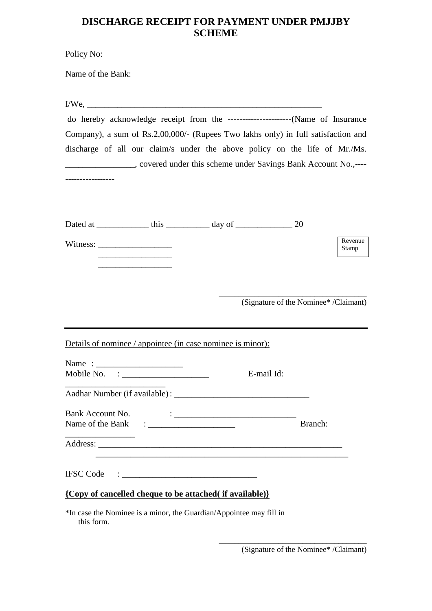# **DISCHARGE RECEIPT FOR PAYMENT UNDER PMJJBY SCHEME**

Policy No:

Name of the Bank:

|                                                                                                                                                                                                                                                                                                                                                                                                             |                                                   | $I/We, \_$                                                              |                                                                            |         |
|-------------------------------------------------------------------------------------------------------------------------------------------------------------------------------------------------------------------------------------------------------------------------------------------------------------------------------------------------------------------------------------------------------------|---------------------------------------------------|-------------------------------------------------------------------------|----------------------------------------------------------------------------|---------|
|                                                                                                                                                                                                                                                                                                                                                                                                             |                                                   |                                                                         |                                                                            |         |
| Company), a sum of Rs.2,00,000/- (Rupees Two lakhs only) in full satisfaction and                                                                                                                                                                                                                                                                                                                           |                                                   |                                                                         |                                                                            |         |
|                                                                                                                                                                                                                                                                                                                                                                                                             |                                                   |                                                                         | discharge of all our claim/s under the above policy on the life of Mr./Ms. |         |
|                                                                                                                                                                                                                                                                                                                                                                                                             |                                                   |                                                                         |                                                                            |         |
|                                                                                                                                                                                                                                                                                                                                                                                                             |                                                   |                                                                         |                                                                            |         |
|                                                                                                                                                                                                                                                                                                                                                                                                             |                                                   |                                                                         |                                                                            |         |
|                                                                                                                                                                                                                                                                                                                                                                                                             |                                                   |                                                                         |                                                                            |         |
|                                                                                                                                                                                                                                                                                                                                                                                                             |                                                   | Dated at _______________ this _____________ day of _________________ 20 |                                                                            |         |
| Witness: $\frac{1}{\sqrt{1-\frac{1}{2}}\sqrt{1-\frac{1}{2}}\sqrt{1-\frac{1}{2}}\sqrt{1-\frac{1}{2}}\sqrt{1-\frac{1}{2}}\sqrt{1-\frac{1}{2}}\sqrt{1-\frac{1}{2}}\sqrt{1-\frac{1}{2}}\sqrt{1-\frac{1}{2}}\sqrt{1-\frac{1}{2}}\sqrt{1-\frac{1}{2}}\sqrt{1-\frac{1}{2}}\sqrt{1-\frac{1}{2}}\sqrt{1-\frac{1}{2}}\sqrt{1-\frac{1}{2}}\sqrt{1-\frac{1}{2}}\sqrt{1-\frac{1}{2}}\sqrt{1-\frac{1}{2}}\sqrt{1-\frac{1$ |                                                   |                                                                         |                                                                            | Revenue |
|                                                                                                                                                                                                                                                                                                                                                                                                             |                                                   |                                                                         |                                                                            | Stamp   |
|                                                                                                                                                                                                                                                                                                                                                                                                             | <u> 1980 - Johann Barbara, martxa alemaniar a</u> |                                                                         |                                                                            |         |
|                                                                                                                                                                                                                                                                                                                                                                                                             |                                                   |                                                                         |                                                                            |         |
|                                                                                                                                                                                                                                                                                                                                                                                                             |                                                   |                                                                         | (Signature of the Nominee* /Claimant)                                      |         |
|                                                                                                                                                                                                                                                                                                                                                                                                             |                                                   |                                                                         |                                                                            |         |
|                                                                                                                                                                                                                                                                                                                                                                                                             |                                                   |                                                                         |                                                                            |         |
|                                                                                                                                                                                                                                                                                                                                                                                                             |                                                   | Details of nominee / appointee (in case nominee is minor):              |                                                                            |         |
|                                                                                                                                                                                                                                                                                                                                                                                                             |                                                   |                                                                         |                                                                            |         |
| Mobile No. $\therefore$                                                                                                                                                                                                                                                                                                                                                                                     |                                                   |                                                                         | E-mail Id:                                                                 |         |
|                                                                                                                                                                                                                                                                                                                                                                                                             |                                                   |                                                                         |                                                                            |         |
| Bank Account No.                                                                                                                                                                                                                                                                                                                                                                                            |                                                   | <u> : _________________________________</u> _                           |                                                                            |         |
| Name of the Bank                                                                                                                                                                                                                                                                                                                                                                                            | <u> 1986 - Johann Barbara, martin a</u>           |                                                                         | <b>Example 1</b> Branch:                                                   |         |
|                                                                                                                                                                                                                                                                                                                                                                                                             |                                                   |                                                                         |                                                                            |         |
|                                                                                                                                                                                                                                                                                                                                                                                                             |                                                   |                                                                         |                                                                            |         |
| <b>IFSC Code</b>                                                                                                                                                                                                                                                                                                                                                                                            |                                                   |                                                                         |                                                                            |         |
|                                                                                                                                                                                                                                                                                                                                                                                                             |                                                   |                                                                         |                                                                            |         |
|                                                                                                                                                                                                                                                                                                                                                                                                             |                                                   | {Copy of cancelled cheque to be attached (if available)}                |                                                                            |         |
| this form.                                                                                                                                                                                                                                                                                                                                                                                                  |                                                   | *In case the Nominee is a minor, the Guardian/Appointee may fill in     |                                                                            |         |

\_\_\_\_\_\_\_\_\_\_\_\_\_\_\_\_\_\_\_\_\_\_\_\_\_\_\_\_\_\_\_\_\_\_\_\_\_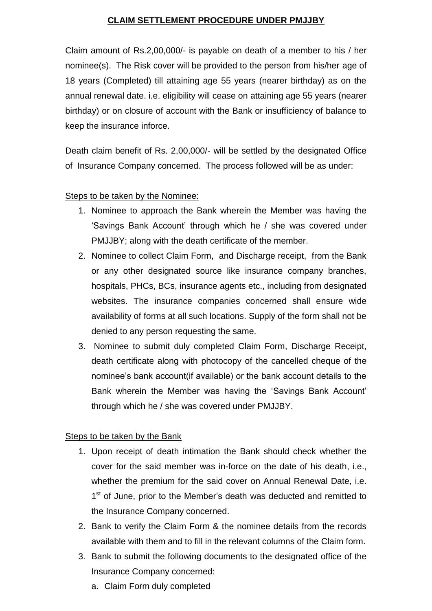## **CLAIM SETTLEMENT PROCEDURE UNDER PMJJBY**

Claim amount of Rs.2,00,000/- is payable on death of a member to his / her nominee(s). The Risk cover will be provided to the person from his/her age of 18 years (Completed) till attaining age 55 years (nearer birthday) as on the annual renewal date. i.e. eligibility will cease on attaining age 55 years (nearer birthday) or on closure of account with the Bank or insufficiency of balance to keep the insurance inforce.

Death claim benefit of Rs. 2,00,000/- will be settled by the designated Office of Insurance Company concerned. The process followed will be as under:

#### Steps to be taken by the Nominee:

- 1. Nominee to approach the Bank wherein the Member was having the 'Savings Bank Account' through which he / she was covered under PMJJBY; along with the death certificate of the member.
- 2. Nominee to collect Claim Form, and Discharge receipt, from the Bank or any other designated source like insurance company branches, hospitals, PHCs, BCs, insurance agents etc., including from designated websites. The insurance companies concerned shall ensure wide availability of forms at all such locations. Supply of the form shall not be denied to any person requesting the same.
- 3. Nominee to submit duly completed Claim Form, Discharge Receipt, death certificate along with photocopy of the cancelled cheque of the nominee's bank account(if available) or the bank account details to the Bank wherein the Member was having the 'Savings Bank Account' through which he / she was covered under PMJJBY.

# Steps to be taken by the Bank

- 1. Upon receipt of death intimation the Bank should check whether the cover for the said member was in-force on the date of his death, i.e., whether the premium for the said cover on Annual Renewal Date, i.e. 1<sup>st</sup> of June, prior to the Member's death was deducted and remitted to the Insurance Company concerned.
- 2. Bank to verify the Claim Form & the nominee details from the records available with them and to fill in the relevant columns of the Claim form.
- 3. Bank to submit the following documents to the designated office of the Insurance Company concerned:
	- a. Claim Form duly completed